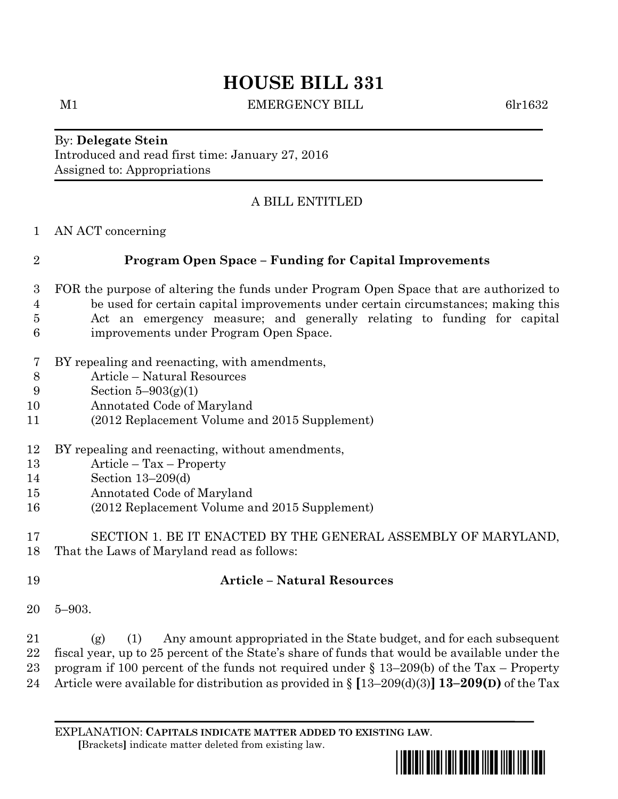# **HOUSE BILL 331**

M1 BEMERGENCY BILL 6lr1632

By: **Delegate Stein** Introduced and read first time: January 27, 2016 Assigned to: Appropriations

## A BILL ENTITLED

AN ACT concerning

## **Program Open Space – Funding for Capital Improvements**

- FOR the purpose of altering the funds under Program Open Space that are authorized to be used for certain capital improvements under certain circumstances; making this Act an emergency measure; and generally relating to funding for capital improvements under Program Open Space.
- BY repealing and reenacting, with amendments,
- Article Natural Resources
- Section 5–903(g)(1)
- Annotated Code of Maryland
- (2012 Replacement Volume and 2015 Supplement)
- BY repealing and reenacting, without amendments,
- Article Tax Property
- Section 13–209(d)
- Annotated Code of Maryland
- (2012 Replacement Volume and 2015 Supplement)

 SECTION 1. BE IT ENACTED BY THE GENERAL ASSEMBLY OF MARYLAND, That the Laws of Maryland read as follows:

#### **Article – Natural Resources**

5–903.

21 (g) (1) Any amount appropriated in the State budget, and for each subsequent fiscal year, up to 25 percent of the State's share of funds that would be available under the program if 100 percent of the funds not required under § 13–209(b) of the Tax – Property Article were available for distribution as provided in § **[**13–209(d)(3)**] 13–209(D)** of the Tax

EXPLANATION: **CAPITALS INDICATE MATTER ADDED TO EXISTING LAW**.  **[**Brackets**]** indicate matter deleted from existing law.